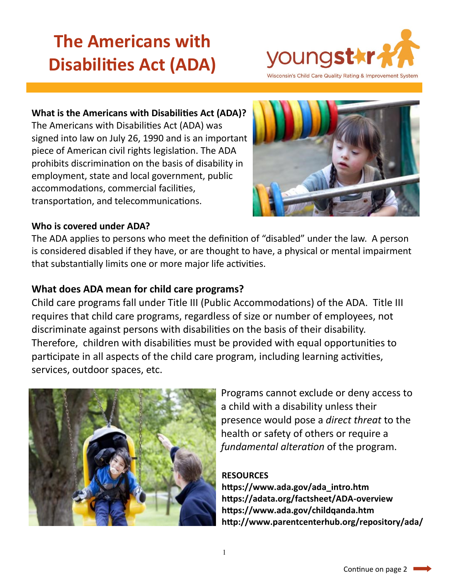# **The Americans with Disabilities Act (ADA)**



### **What is the Americans with Disabilities Act (ADA)?**

The Americans with Disabilities Act (ADA) was signed into law on July 26, 1990 and is an important piece of American civil rights legislation. The ADA prohibits discrimination on the basis of disability in employment, state and local government, public accommodations, commercial facilities, transportation, and telecommunications.



### **Who is covered under ADA?**

The ADA applies to persons who meet the definition of "disabled" under the law. A person is considered disabled if they have, or are thought to have, a physical or mental impairment that substantially limits one or more major life activities.

## **What does ADA mean for child care programs?**

Child care programs fall under Title III (Public Accommodations) of the ADA. Title III requires that child care programs, regardless of size or number of employees, not discriminate against persons with disabilities on the basis of their disability. Therefore, children with disabilities must be provided with equal opportunities to participate in all aspects of the child care program, including learning activities, services, outdoor spaces, etc.



Programs cannot exclude or deny access to a child with a disability unless their presence would pose a *direct threat* to the health or safety of others or require a *fundamental alteration* of the program.

#### **RESOURCES**

**https://www.ada.gov/ada\_intro.htm https://adata.org/factsheet/ADA-overview https://www.ada.gov/childqanda.htm http://www.parentcenterhub.org/repository/ada/**